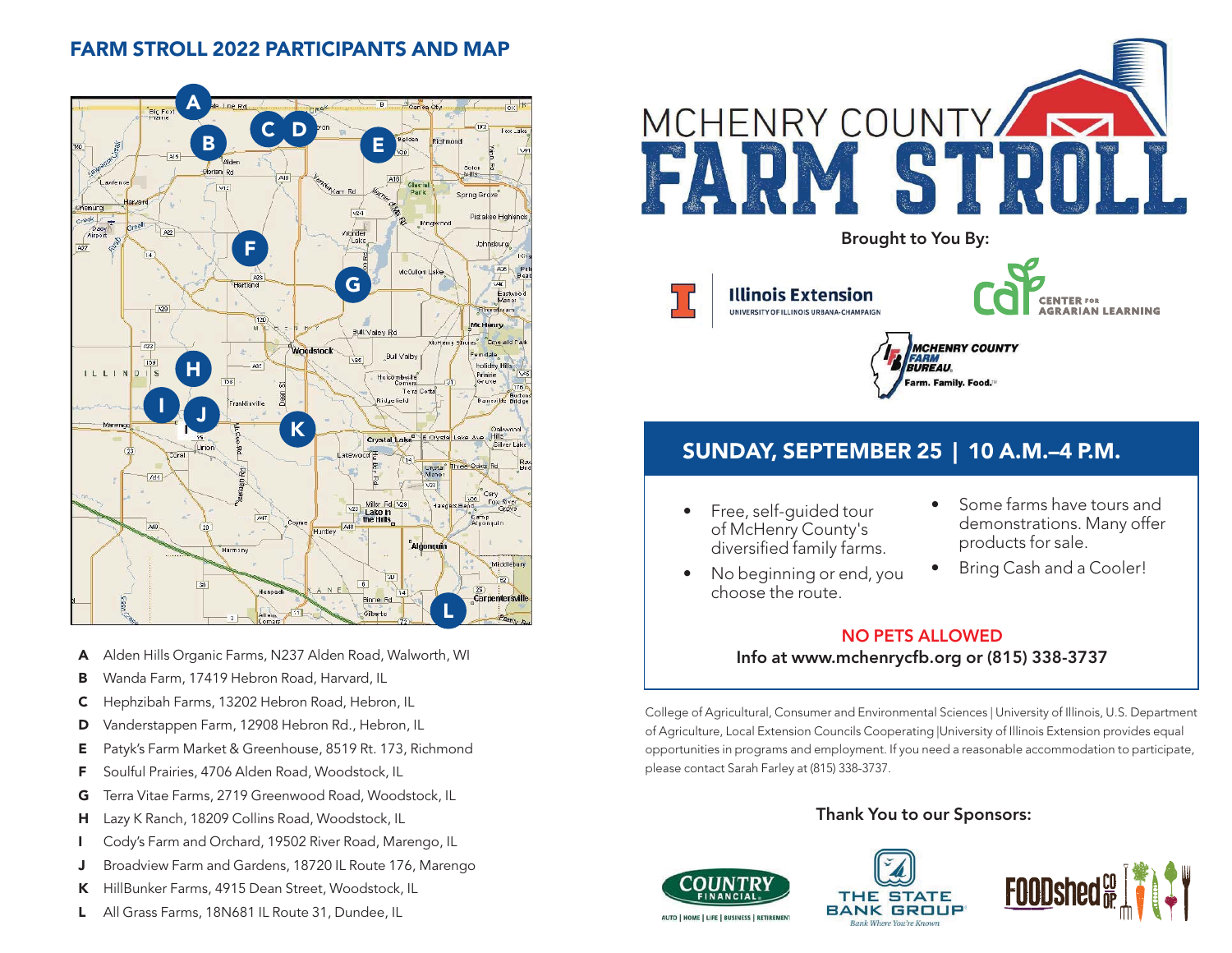# **FARM STROLL 2022 PARTICIPANTS AND MAP**



- **A** Alden Hills Organic Farms, N237 Alden Road, Walworth, WI
- **B** Wanda Farm, 17419 Hebron Road, Harvard, IL
- **C** Hephzibah Farms, 13202 Hebron Road, Hebron, IL
- **D** Vanderstappen Farm, 12908 Hebron Rd., Hebron, IL
- **E** Patyk's Farm Market & Greenhouse, 8519 Rt. 173, Richmond
- **F** Soulful Prairies, 4706 Alden Road, Woodstock, IL
- **G** Terra Vitae Farms, 2719 Greenwood Road, Woodstock, IL
- **H** Lazy K Ranch, 18209 Collins Road, Woodstock, IL
- **I** Cody's Farm and Orchard, 19502 River Road, Marengo, IL
- **J** Broadview Farm and Gardens, 18720 IL Route 176, Marengo
- **K** HillBunker Farms, 4915 Dean Street, Woodstock, IL
- **L** All Grass Farms, 18N681 IL Route 31, Dundee, IL





# **SUNDAY, SEPTEMBER 25 | 10 A.M.–4 P.M.**

- Free, self-guided tour of McHenry County's diversified family farms.
- Some farms have tours and demonstrations. Many offer products for sale.
- No beginning or end, you choose the route.
- Bring Cash and a Cooler!

# **NO PETS ALLOWED** mchanrycth arg ar (81) **Info at www.mchenrycfb.org or (815) 338-3737**

College of Agricultural, Consumer and Environmental Sciences | University of Illinois, U.S. Department of Agriculture, Local Extension Councils Cooperating |University of Illinois Extension provides equal opportunities in programs and employment. If you need a reasonable accommodation to participate, please contact Sarah Farley at (815) 338-3737.

# **Thank You to our Sponsors:**